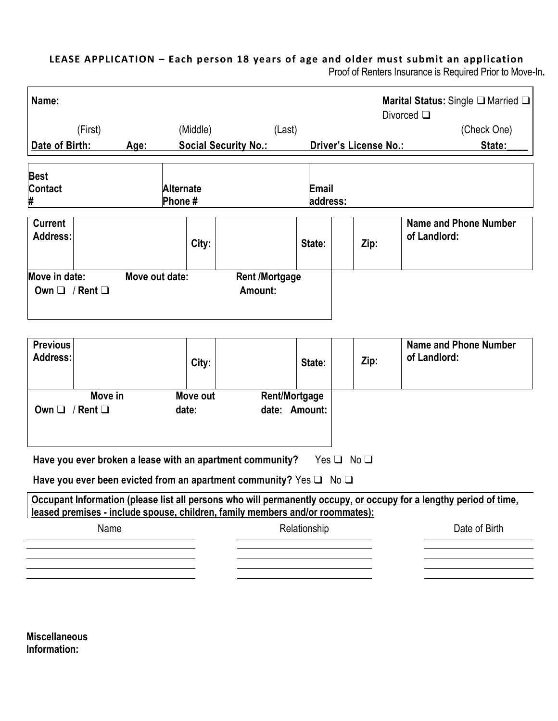## **LEASE APPLICATION – Each person 18 years of age and older must submit an application**

Proof of Renters Insurance is Required Prior to Move-In**.**

| Name:                                                                                                                                                             | (First)                  |                |                            | (Middle) |                                                                               | (Last)                                |                   |                       | Marital Status: Single $\Box$ Married $\Box$<br>Divorced $\square$<br>(Check One) |
|-------------------------------------------------------------------------------------------------------------------------------------------------------------------|--------------------------|----------------|----------------------------|----------|-------------------------------------------------------------------------------|---------------------------------------|-------------------|-----------------------|-----------------------------------------------------------------------------------|
| Date of Birth:                                                                                                                                                    |                          | Age:           |                            |          | <b>Social Security No.:</b>                                                   |                                       |                   | Driver's License No.: | State:                                                                            |
|                                                                                                                                                                   |                          |                |                            |          |                                                                               |                                       |                   |                       |                                                                                   |
| <b>Best</b><br>Contact<br>#                                                                                                                                       |                          |                | <b>Alternate</b><br>Phone# |          |                                                                               |                                       | Email<br>address: |                       |                                                                                   |
| <b>Current</b><br><b>Address:</b>                                                                                                                                 |                          |                |                            | City:    |                                                                               |                                       | State:            | Zip:                  | <b>Name and Phone Number</b><br>of Landlord:                                      |
| Move in date:<br>Own $\Box$ / Rent $\Box$                                                                                                                         |                          | Move out date: |                            |          | <b>Rent /Mortgage</b><br>Amount:                                              |                                       |                   |                       |                                                                                   |
| <b>Previous</b><br><b>Address:</b>                                                                                                                                |                          |                |                            | City:    |                                                                               |                                       | State:            | Zip:                  | <b>Name and Phone Number</b><br>of Landlord:                                      |
| Own $\square$                                                                                                                                                     | Move in<br>/ Rent $\Box$ |                | date:                      | Move out |                                                                               | <b>Rent/Mortgage</b><br>date: Amount: |                   |                       |                                                                                   |
| Have you ever broken a lease with an apartment community?<br>Yes $\Box$ No $\Box$<br>Have you ever been evicted from an apartment community? Yes $\Box$ No $\Box$ |                          |                |                            |          |                                                                               |                                       |                   |                       |                                                                                   |
| Occupant Information (please list all persons who will permanently occupy, or occupy for a lengthy period of time,                                                |                          |                |                            |          |                                                                               |                                       |                   |                       |                                                                                   |
|                                                                                                                                                                   |                          |                |                            |          | leased premises - include spouse, children, family members and/or roommates): |                                       |                   |                       |                                                                                   |
|                                                                                                                                                                   | Name                     |                |                            |          |                                                                               | Relationship                          |                   |                       | Date of Birth                                                                     |
|                                                                                                                                                                   |                          |                |                            |          |                                                                               |                                       |                   |                       |                                                                                   |
|                                                                                                                                                                   |                          |                |                            |          |                                                                               |                                       |                   |                       |                                                                                   |
|                                                                                                                                                                   |                          |                |                            |          |                                                                               |                                       |                   |                       |                                                                                   |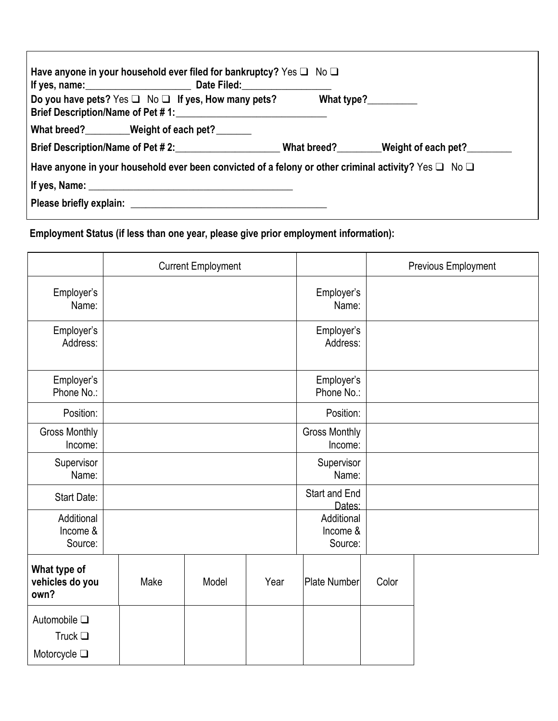| Have anyone in your household ever filed for bankruptcy? Yes $\Box$ No $\Box$                                  |                                 |  |  |  |  |  |
|----------------------------------------------------------------------------------------------------------------|---------------------------------|--|--|--|--|--|
| Do you have pets? Yes $\Box$ No $\Box$ If yes, How many pets?<br>Brief Description/Name of Pet #1:             | What type? $\frac{2}{\sqrt{2}}$ |  |  |  |  |  |
| What breed?________Weight of each pet?______                                                                   |                                 |  |  |  |  |  |
| Brief Description/Name of Pet #2: What breed? Weight of each pet?                                              |                                 |  |  |  |  |  |
| Have anyone in your household ever been convicted of a felony or other criminal activity? Yes $\Box$ No $\Box$ |                                 |  |  |  |  |  |
|                                                                                                                |                                 |  |  |  |  |  |
|                                                                                                                |                                 |  |  |  |  |  |

# **Employment Status (if less than one year, please give prior employment information):**

|                                                                 | <b>Current Employment</b> |      |       |                         |                                   |       | Previous Employment |  |
|-----------------------------------------------------------------|---------------------------|------|-------|-------------------------|-----------------------------------|-------|---------------------|--|
| Employer's<br>Name:                                             |                           |      |       |                         | Employer's<br>Name:               |       |                     |  |
| Employer's<br>Address:                                          |                           |      |       |                         | Employer's<br>Address:            |       |                     |  |
| Employer's<br>Phone No.:                                        |                           |      |       |                         | Employer's<br>Phone No.:          |       |                     |  |
| Position:                                                       |                           |      |       |                         | Position:                         |       |                     |  |
| <b>Gross Monthly</b><br>Income:                                 |                           |      |       |                         | <b>Gross Monthly</b><br>Income:   |       |                     |  |
| Supervisor<br>Name:                                             |                           |      |       |                         | Supervisor<br>Name:               |       |                     |  |
| Start Date:                                                     |                           |      |       | Start and End<br>Dates: |                                   |       |                     |  |
| Additional<br>Income &<br>Source:                               |                           |      |       |                         | Additional<br>Income &<br>Source: |       |                     |  |
| What type of<br>vehicles do you<br>own?                         |                           | Make | Model | Year                    | <b>Plate Number</b>               | Color |                     |  |
| Automobile $\square$<br>Truck $\square$<br>Motorcycle $\square$ |                           |      |       |                         |                                   |       |                     |  |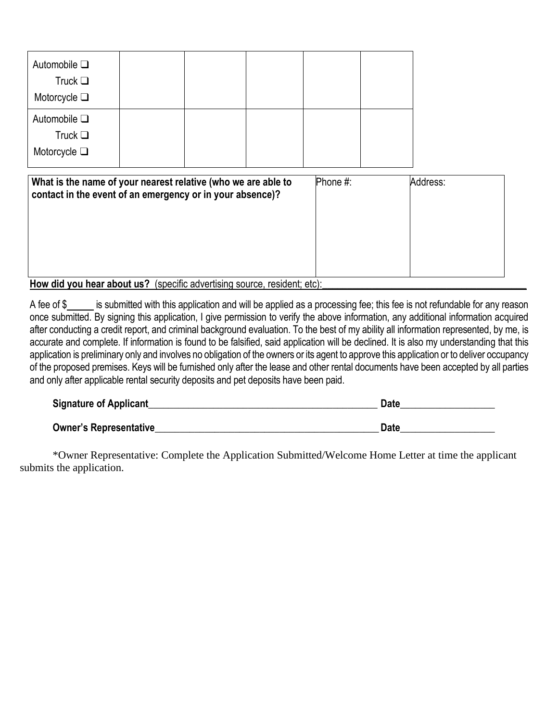| Automobile $\square$<br>Truck $\Box$<br>Motorcycle $\Box$                                                                                          |  |  |  |  |  |  |
|----------------------------------------------------------------------------------------------------------------------------------------------------|--|--|--|--|--|--|
| Automobile $\square$<br>Truck $\Box$<br>Motorcycle $\square$                                                                                       |  |  |  |  |  |  |
| Phone #:<br>Address:<br>What is the name of your nearest relative (who we are able to<br>contact in the event of an emergency or in your absence)? |  |  |  |  |  |  |
| How did you hear about us? (specific advertising source, resident; etc):                                                                           |  |  |  |  |  |  |

A fee of \$<br>is submitted with this application and will be applied as a processing fee; this fee is not refundable for any reason once submitted. By signing this application, I give permission to verify the above information, any additional information acquired after conducting a credit report, and criminal background evaluation. To the best of my ability all information represented, by me, is accurate and complete. If information is found to be falsified, said application will be declined. It is also my understanding that this application is preliminary only and involves no obligation of the owners or its agent to approve this application or to deliver occupancy of the proposed premises. Keys will be furnished only after the lease and other rental documents have been accepted by all parties and only after applicable rental security deposits and pet deposits have been paid.

| <b>Signature of Applicant</b> | Date |
|-------------------------------|------|
| <b>Owner's Representative</b> | Date |

\*Owner Representative: Complete the Application Submitted/Welcome Home Letter at time the applicant submits the application.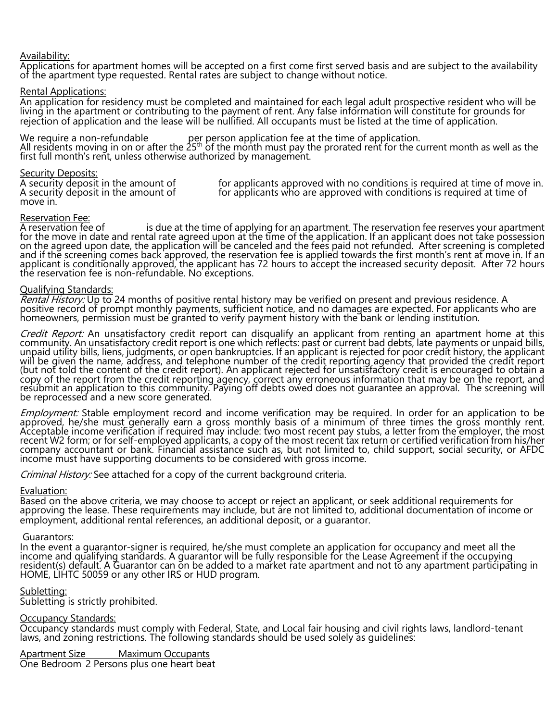#### Availability:

Applications for apartment homes will be accepted on a first come first served basis and are subject to the availability of the apartment type requested. Rental rates are subject to change without notice.

Rental Applications:

An application for residency must be completed and maintained for each legal adult prospective resident who will be living in the apartment or contributing to the payment of rent. Any false information will constitute for grounds for rejection of application and the lease will be nullified. All occupants must be listed at the time of application.

We require a non-refundable per person application fee at the time of application. All residents moving in on or after the 25th of the month must pay the prorated rent for the current month as well as the first full month's rent, unless otherwise authorized by management.

#### Security Deposits:

move in.

A security deposit in the amount of for applicants approved with no conditions is required at time of move in.<br>A security deposit in the amount of for applicants who are approved with conditions is required at time of for applicants who are approved with conditions is required at time of

Reservation Fee:<br>A reservation fee of is due at the time of applying for an apartment. The reservation fee reserves your apartment for the move in date and rental rate agreed upon at the time of the application. If an applicant does not take possession on the agreed upon date, the application will be canceled and the fees paid not refunded. After screening is completed and if the screening comes back approved, the reservation fee is applied towards the first month's rent at move in. If an applicant is conditionally approved, the applicant has 72 hours to accept the increased security deposit. After 72 hours the reservation fee is non-refundable. No exceptions.

#### Qualifying Standards:

Rental History: Up to 24 months of positive rental history may be verified on present and previous residence. A positive record of prompt monthly payments, sufficient notice, and no damages are expected. For applicants who are homeowners, permission must be granted to verify payment history with the bank or lending institution.

Credit Report: An unsatisfactory credit report can disqualify an applicant from renting an apartment home at this community. An unsatisfactory credit report is one which reflects: past or current bad debts, late payments or unpaid bills, unpaid utility bills, liens, judgments, or open bankruptcies. If an applicant is rejected for poor credit history, the applicant will be given the name, address, and telephone number of the credit reporting agency that provided the credit report (but not told the content of the credit report). An applicant rejected for unsatisfactory credit is encouraged to obtain a copy of the report from the credit reporting agency, correct any erroneous information that may be on the report, and resubmit an application to this community. Paying off debts owed does not guarantee an approval. The screening will be reprocessed and a new score generated.

Employment: Stable employment record and income verification may be required. In order for an application to be approved, he/she must generally earn a gross monthly basis of a minimum of three times the gross monthly rent. Acceptable income verification if required may include: two most recent pay stubs, a letter from the employer, the most recent W2 form; or for self-employed applicants, a copy of the most recent tax return or certified verification from his/her company accountant or bank. Financial assistance such as, but not limited to, child support, social security, or AFDC income must have supporting documents to be considered with gross income.

*Criminal History:* See attached for a copy of the current background criteria.

#### Evaluation:

Based on the above criteria, we may choose to accept or reject an applicant, or seek additional requirements for approving the lease. These requirements may include, but are not limited to, additional documentation of income or employment, additional rental references, an additional deposit, or a guarantor.

#### Guarantors:

In the event a guarantor-signer is required, he/she must complete an application for occupancy and meet all the income and qualifying standards. A guarantor will be fully responsible for the Lease Agreement if the occupying resident(s) default. A Guarantor can on be added to a market rate apartment and not to any apartment participating in HOME, LIHTC 50059 or any other IRS or HUD program.

#### Subletting:

Subletting is strictly prohibited.

### **Occupancy Standards:**

Occupancy standards must comply with Federal, State, and Local fair housing and civil rights laws, landlord-tenant laws, and zoning restrictions. The following standards should be used solely as guidelines:

Apartment Size Maximum Occupants

One Bedroom 2 Persons plus one heart beat